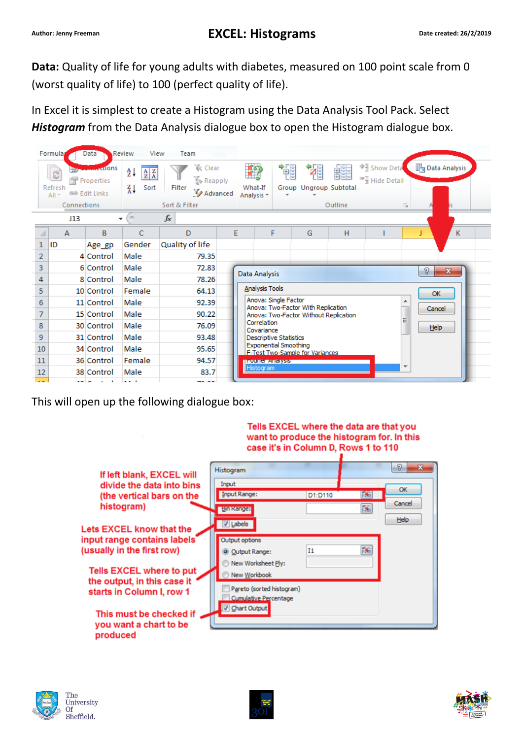**Data:** Quality of life for young adults with diabetes, measured on 100 point scale from 0 (worst quality of life) to 100 (perfect quality of life).

In Excel it is simplest to create a Histogram using the Data Analysis Tool Pack. Select *Histogram* from the Data Analysis dialogue box to open the Histogram dialogue box.

|                | Formula                 | Data                                                  | Review<br>View                                                    | Team                                            |                                                                                                                                                                         |                             |                   |                             |         |                                                      |                           |               |
|----------------|-------------------------|-------------------------------------------------------|-------------------------------------------------------------------|-------------------------------------------------|-------------------------------------------------------------------------------------------------------------------------------------------------------------------------|-----------------------------|-------------------|-----------------------------|---------|------------------------------------------------------|---------------------------|---------------|
|                | R<br>Refresh<br>$All =$ | <b>Accidons</b><br>Properties<br><b>69 Edit Links</b> | Å↓<br>$\begin{array}{c} A & Z \\ Z & A \end{array}$<br>∡¥<br>Sort | <b>《 Clear</b><br>Reapply<br>Filter<br>Advanced |                                                                                                                                                                         | É9<br>What-If<br>Analysis * | 镭<br>$\mathbf{r}$ | 犡<br>Group Ungroup Subtotal | 雛       | <sup>业</sup> 量 Show Deta<br><sup>■</sup> Hide Detail |                           | Data Analysis |
|                | Connections             |                                                       |                                                                   | Sort & Filter                                   |                                                                                                                                                                         |                             |                   |                             | Outline |                                                      | $\overline{\mathbb{F}_M}$ |               |
|                | J13                     |                                                       | $\equiv$<br>$\overline{\phantom{a}}$                              | $f_x$                                           |                                                                                                                                                                         |                             |                   |                             |         |                                                      |                           |               |
|                | А                       | B                                                     | C                                                                 | D                                               | E                                                                                                                                                                       |                             | F                 | G                           | н       |                                                      |                           | K.            |
| 1              | ID                      | Age gp                                                | Gender                                                            | Quality of life                                 |                                                                                                                                                                         |                             |                   |                             |         |                                                      |                           |               |
| $\overline{2}$ |                         | 4 Control                                             | Male                                                              | 79.35                                           |                                                                                                                                                                         |                             |                   |                             |         |                                                      |                           |               |
| 3              |                         | 6 Control                                             | Male                                                              | 72.83                                           |                                                                                                                                                                         | P                           |                   |                             |         | $\mathbf{x}$                                         |                           |               |
| 4              |                         | 8 Control                                             | Male                                                              |                                                 | Data Analysis<br>78.26                                                                                                                                                  |                             |                   |                             |         |                                                      |                           |               |
| 5              |                         | 10 Control                                            | Female                                                            |                                                 | Analysis Tools<br>64.13<br><b>OK</b><br>Anova: Single Factor<br>92.39<br>Anova: Two-Factor With Replication<br>Cancel<br>90.22<br>Anova: Two-Factor Without Replication |                             |                   |                             |         |                                                      |                           |               |
| 6              |                         | 11 Control                                            | Male                                                              |                                                 |                                                                                                                                                                         |                             |                   |                             |         |                                                      |                           |               |
| 7              |                         | 15 Control                                            | Male                                                              |                                                 |                                                                                                                                                                         |                             |                   |                             |         |                                                      |                           |               |
| 8              |                         | 30 Control                                            | Male                                                              | 76.09                                           | Correlation<br>Help<br>Covariance<br><b>Descriptive Statistics</b><br><b>Exponential Smoothing</b><br>F-Test Two-Sample for Variances                                   |                             |                   |                             |         |                                                      |                           |               |
| 9              |                         | 31 Control                                            | Male                                                              | 93.48                                           |                                                                                                                                                                         |                             |                   |                             |         |                                                      |                           |               |
| 10             |                         | 34 Control                                            | Male                                                              | 95.65                                           |                                                                                                                                                                         |                             |                   |                             |         |                                                      |                           |               |
| 11             |                         | 36 Control                                            | Female                                                            | 94.57                                           | <b>IF ourier Analysis</b>                                                                                                                                               |                             |                   |                             |         |                                                      |                           |               |
| 12             |                         | 38 Control                                            | Male                                                              | 83.7                                            |                                                                                                                                                                         | <b>Histogram</b>            |                   |                             |         |                                                      |                           |               |
| a est          |                         | فالمناجعة                                             | <b>A A B</b>                                                      | ma ar                                           |                                                                                                                                                                         |                             |                   |                             |         |                                                      |                           |               |

This will open up the following dialogue box:

|                                                               | Tells EXCEL where the data are that you<br>want to produce the histogram for. In this<br>case it's in Column D, Rows 1 to 110 |         |     |             |
|---------------------------------------------------------------|-------------------------------------------------------------------------------------------------------------------------------|---------|-----|-------------|
| If left blank, EXCEL will                                     | <b>Histogram</b>                                                                                                              |         |     | D<br>x      |
| divide the data into bins                                     | Input                                                                                                                         |         |     |             |
| (the vertical bars on the                                     | Input Range:                                                                                                                  | D1:D110 | FS. | <b>OK</b>   |
| histogram)                                                    | <b>Bin Range:</b>                                                                                                             |         | 国   | Cancel      |
| Lets EXCEL know that the                                      | V Labels                                                                                                                      |         |     | <b>Help</b> |
| input range contains labels                                   | Output options                                                                                                                |         |     |             |
| (usually in the first row)                                    | O Qutput Range:                                                                                                               | Ι1      | 医   |             |
| <b>Tells EXCEL where to put</b>                               | New Worksheet Ply:<br>New Workbook                                                                                            |         |     |             |
| the output, in this case it<br>starts in Column I, row 1      | Pareto (sorted histogram)<br><b>Cumulative Percentage</b>                                                                     |         |     |             |
| This must be checked if<br>you want a chart to be<br>produced | Chart Output                                                                                                                  |         |     |             |





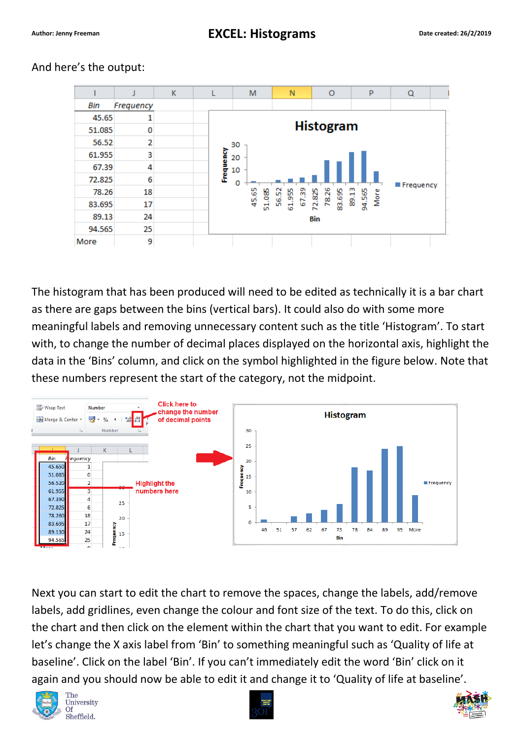|        |           | K |           | M                | N              | $\circ$          | p             | Q         |  |  |  |  |
|--------|-----------|---|-----------|------------------|----------------|------------------|---------------|-----------|--|--|--|--|
| Bin    | Frequency |   |           |                  |                |                  |               |           |  |  |  |  |
| 45.65  |           |   |           |                  |                |                  |               |           |  |  |  |  |
| 51.085 | 0         |   |           | <b>Histogram</b> |                |                  |               |           |  |  |  |  |
| 56.52  | 2         |   |           | 30               |                |                  |               |           |  |  |  |  |
| 61.955 | 3         |   | Frequency | 20               |                |                  |               |           |  |  |  |  |
| 67.39  | 4         |   |           | 10               |                |                  |               |           |  |  |  |  |
| 72.825 | 6         |   |           | ٥                |                |                  |               | Frequency |  |  |  |  |
| 78.26  | 18        |   |           | 45.65            | 56.52<br>67.39 | 78.26            | 89.13<br>More |           |  |  |  |  |
| 83.695 | 17        |   |           | 51.085           | 61.955         | 83.695<br>72.825 | 94.565        |           |  |  |  |  |
| 89.13  | 24        |   |           |                  |                |                  |               |           |  |  |  |  |
| 94.565 | 25        |   |           |                  |                |                  |               |           |  |  |  |  |
| More   | 9         |   |           |                  |                |                  |               |           |  |  |  |  |

## And here's the output:

The histogram that has been produced will need to be edited as technically it is a bar chart as there are gaps between the bins (vertical bars). It could also do with some more meaningful labels and removing unnecessary content such as the title 'Histogram'. To start with, to change the number of decimal places displayed on the horizontal axis, highlight the data in the 'Bins' column, and click on the symbol highlighted in the figure below. Note that these numbers represent the start of the category, not the midpoint.



Next you can start to edit the chart to remove the spaces, change the labels, add/remove labels, add gridlines, even change the colour and font size of the text. To do this, click on the chart and then click on the element within the chart that you want to edit. For example let's change the X axis label from 'Bin' to something meaningful such as 'Quality of life at baseline'. Click on the label 'Bin'. If you can't immediately edit the word 'Bin' click on it again and you should now be able to edit it and change it to 'Quality of life at baseline'.





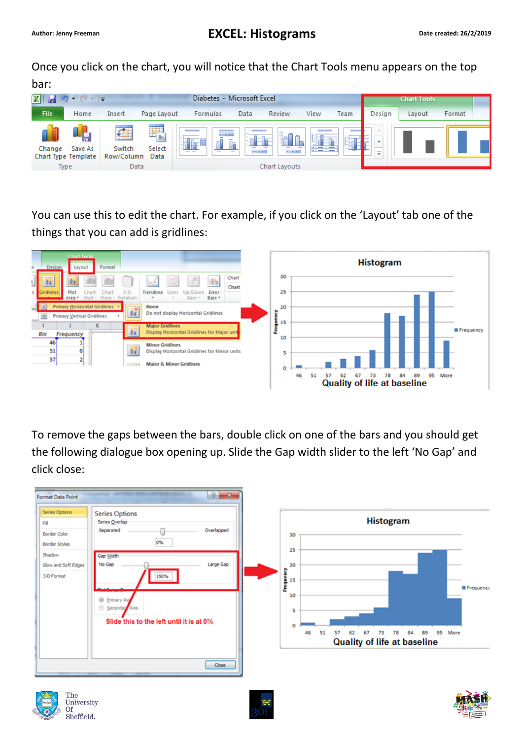Once you click on the chart, you will notice that the Chart Tools menu appears on the top bar:



You can use this to edit the chart. For example, if you click on the 'Layout' tab one of the things that you can add is gridlines:



To remove the gaps between the bars, double click on one of the bars and you should get the following dialogue box opening up. Slide the Gap width slider to the left 'No Gap' and click close: